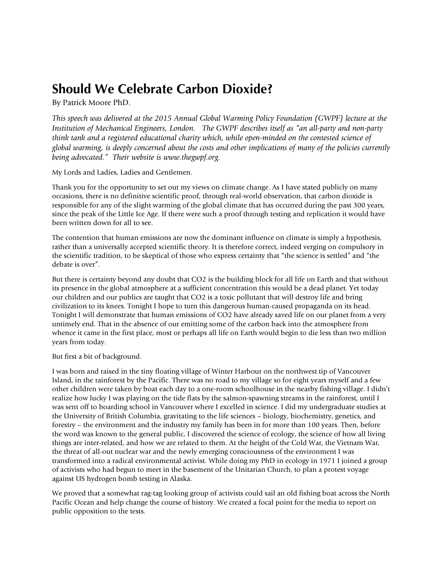## **Should We Celebrate Carbon Dioxide?**

By Patrick Moore PhD.

*This speech was delivered at the 2015 Annual Global Warming Policy Foundation (GWPF) lecture at the Institution of Mechanical Engineers, London. The GWPF describes itself as "an all-party and non-party think tank and a registered educational charity which, while open-minded on the contested science of global warming, is deeply concerned about the costs and other implications of many of the policies currently being advocated." Their website is www.thegwpf.org.* 

My Lords and Ladies, Ladies and Gentlemen.

Thank you for the opportunity to set out my views on climate change. As I have stated publicly on many occasions, there is no definitive scientific proof, through real-world observation, that carbon dioxide is responsible for any of the slight warming of the global climate that has occurred during the past 300 years, since the peak of the Little Ice Age. If there were such a proof through testing and replication it would have been written down for all to see.

The contention that human emissions are now the dominant influence on climate is simply a hypothesis, rather than a universally accepted scientific theory. It is therefore correct, indeed verging on compulsory in the scientific tradition, to be skeptical of those who express certainty that "the science is settled" and "the debate is over".

But there is certainty beyond any doubt that CO2 is the building block for all life on Earth and that without its presence in the global atmosphere at a sufficient concentration this would be a dead planet. Yet today our children and our publics are taught that CO2 is a toxic pollutant that will destroy life and bring civilization to its knees. Tonight I hope to turn this dangerous human-caused propaganda on its head. Tonight I will demonstrate that human emissions of CO2 have already saved life on our planet from a very untimely end. That in the absence of our emitting some of the carbon back into the atmosphere from whence it came in the first place, most or perhaps all life on Earth would begin to die less than two million years from today.

But first a bit of background.

I was born and raised in the tiny floating village of Winter Harbour on the northwest tip of Vancouver Island, in the rainforest by the Pacific. There was no road to my village so for eight years myself and a few other children were taken by boat each day to a one-room schoolhouse in the nearby fishing village. I didn't realize how lucky I was playing on the tide flats by the salmon-spawning streams in the rainforest, until I was sent off to boarding school in Vancouver where I excelled in science. I did my undergraduate studies at the University of British Columbia, gravitating to the life sciences – biology, biochemistry, genetics, and forestry – the environment and the industry my family has been in for more than 100 years. Then, before the word was known to the general public, I discovered the science of ecology, the science of how all living things are inter-related, and how we are related to them. At the height of the Cold War, the Vietnam War, the threat of all-out nuclear war and the newly emerging consciousness of the environment I was transformed into a radical environmental activist. While doing my PhD in ecology in 1971 I joined a group of activists who had begun to meet in the basement of the Unitarian Church, to plan a protest voyage against US hydrogen bomb testing in Alaska.

We proved that a somewhat rag-tag looking group of activists could sail an old fishing boat across the North Pacific Ocean and help change the course of history. We created a focal point for the media to report on public opposition to the tests.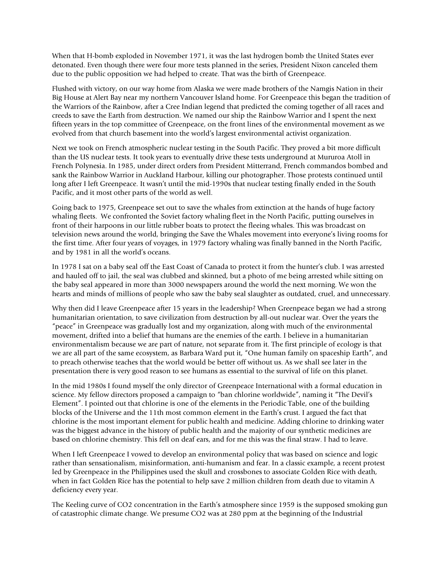When that H-bomb exploded in November 1971, it was the last hydrogen bomb the United States ever detonated. Even though there were four more tests planned in the series, President Nixon canceled them due to the public opposition we had helped to create. That was the birth of Greenpeace.

Flushed with victory, on our way home from Alaska we were made brothers of the Namgis Nation in their Big House at Alert Bay near my northern Vancouver Island home. For Greenpeace this began the tradition of the Warriors of the Rainbow, after a Cree Indian legend that predicted the coming together of all races and creeds to save the Earth from destruction. We named our ship the Rainbow Warrior and I spent the next fifteen years in the top committee of Greenpeace, on the front lines of the environmental movement as we evolved from that church basement into the world's largest environmental activist organization.

Next we took on French atmospheric nuclear testing in the South Pacific. They proved a bit more difficult than the US nuclear tests. It took years to eventually drive these tests underground at Mururoa Atoll in French Polynesia. In 1985, under direct orders from President Mitterrand, French commandos bombed and sank the Rainbow Warrior in Auckland Harbour, killing our photographer. Those protests continued until long after I left Greenpeace. It wasn't until the mid-1990s that nuclear testing finally ended in the South Pacific, and it most other parts of the world as well.

Going back to 1975, Greenpeace set out to save the whales from extinction at the hands of huge factory whaling fleets. We confronted the Soviet factory whaling fleet in the North Pacific, putting ourselves in front of their harpoons in our little rubber boats to protect the fleeing whales. This was broadcast on television news around the world, bringing the Save the Whales movement into everyone's living rooms for the first time. After four years of voyages, in 1979 factory whaling was finally banned in the North Pacific, and by 1981 in all the world's oceans.

In 1978 I sat on a baby seal off the East Coast of Canada to protect it from the hunter's club. I was arrested and hauled off to jail, the seal was clubbed and skinned, but a photo of me being arrested while sitting on the baby seal appeared in more than 3000 newspapers around the world the next morning. We won the hearts and minds of millions of people who saw the baby seal slaughter as outdated, cruel, and unnecessary.

Why then did I leave Greenpeace after 15 years in the leadership? When Greenpeace began we had a strong humanitarian orientation, to save civilization from destruction by all-out nuclear war. Over the years the "peace" in Greenpeace was gradually lost and my organization, along with much of the environmental movement, drifted into a belief that humans are the enemies of the earth. I believe in a humanitarian environmentalism because we are part of nature, not separate from it. The first principle of ecology is that we are all part of the same ecosystem, as Barbara Ward put it, "One human family on spaceship Earth", and to preach otherwise teaches that the world would be better off without us. As we shall see later in the presentation there is very good reason to see humans as essential to the survival of life on this planet.

In the mid 1980s I found myself the only director of Greenpeace International with a formal education in science. My fellow directors proposed a campaign to "ban chlorine worldwide", naming it "The Devil's Element". I pointed out that chlorine is one of the elements in the Periodic Table, one of the building blocks of the Universe and the 11th most common element in the Earth's crust. I argued the fact that chlorine is the most important element for public health and medicine. Adding chlorine to drinking water was the biggest advance in the history of public health and the majority of our synthetic medicines are based on chlorine chemistry. This fell on deaf ears, and for me this was the final straw. I had to leave.

When I left Greenpeace I vowed to develop an environmental policy that was based on science and logic rather than sensationalism, misinformation, anti-humanism and fear. In a classic example, a recent protest led by Greenpeace in the Philippines used the skull and crossbones to associate Golden Rice with death, when in fact Golden Rice has the potential to help save 2 million children from death due to vitamin A deficiency every year.

The Keeling curve of CO2 concentration in the Earth's atmosphere since 1959 is the supposed smoking gun of catastrophic climate change. We presume CO2 was at 280 ppm at the beginning of the Industrial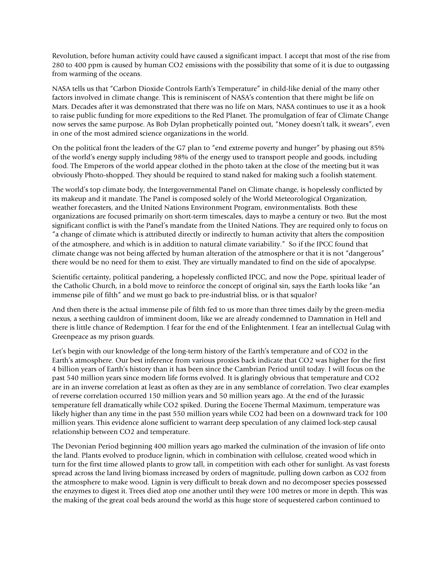Revolution, before human activity could have caused a significant impact. I accept that most of the rise from 280 to 400 ppm is caused by human CO2 emissions with the possibility that some of it is due to outgassing from warming of the oceans.

NASA tells us that "Carbon Dioxide Controls Earth's Temperature" in child-like denial of the many other factors involved in climate change. This is reminiscent of NASA's contention that there might be life on Mars. Decades after it was demonstrated that there was no life on Mars, NASA continues to use it as a hook to raise public funding for more expeditions to the Red Planet. The promulgation of fear of Climate Change now serves the same purpose. As Bob Dylan prophetically pointed out, "Money doesn't talk, it swears", even in one of the most admired science organizations in the world.

On the political front the leaders of the G7 plan to "end extreme poverty and hunger" by phasing out 85% of the world's energy supply including 98% of the energy used to transport people and goods, including food. The Emperors of the world appear clothed in the photo taken at the close of the meeting but it was obviously Photo-shopped. They should be required to stand naked for making such a foolish statement.

The world's top climate body, the Intergovernmental Panel on Climate change, is hopelessly conflicted by its makeup and it mandate. The Panel is composed solely of the World Meteorological Organization, weather forecasters, and the United Nations Environment Program, environmentalists. Both these organizations are focused primarily on short-term timescales, days to maybe a century or two. But the most significant conflict is with the Panel's mandate from the United Nations. They are required only to focus on "a change of climate which is attributed directly or indirectly to human activity that alters the composition of the atmosphere, and which is in addition to natural climate variability." So if the IPCC found that climate change was not being affected by human alteration of the atmosphere or that it is not "dangerous" there would be no need for them to exist. They are virtually mandated to find on the side of apocalypse.

Scientific certainty, political pandering, a hopelessly conflicted IPCC, and now the Pope, spiritual leader of the Catholic Church, in a bold move to reinforce the concept of original sin, says the Earth looks like "an immense pile of filth" and we must go back to pre-industrial bliss, or is that squalor?

And then there is the actual immense pile of filth fed to us more than three times daily by the green-media nexus, a seething cauldron of imminent doom, like we are already condemned to Damnation in Hell and there is little chance of Redemption. I fear for the end of the Enlightenment. I fear an intellectual Gulag with Greenpeace as my prison guards.

Let's begin with our knowledge of the long-term history of the Earth's temperature and of CO2 in the Earth's atmosphere. Our best inference from various proxies back indicate that CO2 was higher for the first 4 billion years of Earth's history than it has been since the Cambrian Period until today. I will focus on the past 540 million years since modern life forms evolved. It is glaringly obvious that temperature and CO2 are in an inverse correlation at least as often as they are in any semblance of correlation. Two clear examples of reverse correlation occurred 150 million years and 50 million years ago. At the end of the Jurassic temperature fell dramatically while CO2 spiked. During the Eocene Thermal Maximum, temperature was likely higher than any time in the past 550 million years while CO2 had been on a downward track for 100 million years. This evidence alone sufficient to warrant deep speculation of any claimed lock-step causal relationship between CO2 and temperature.

The Devonian Period beginning 400 million years ago marked the culmination of the invasion of life onto the land. Plants evolved to produce lignin, which in combination with cellulose, created wood which in turn for the first time allowed plants to grow tall, in competition with each other for sunlight. As vast forests spread across the land living biomass increased by orders of magnitude, pulling down carbon as CO2 from the atmosphere to make wood. Lignin is very difficult to break down and no decomposer species possessed the enzymes to digest it. Trees died atop one another until they were 100 metres or more in depth. This was the making of the great coal beds around the world as this huge store of sequestered carbon continued to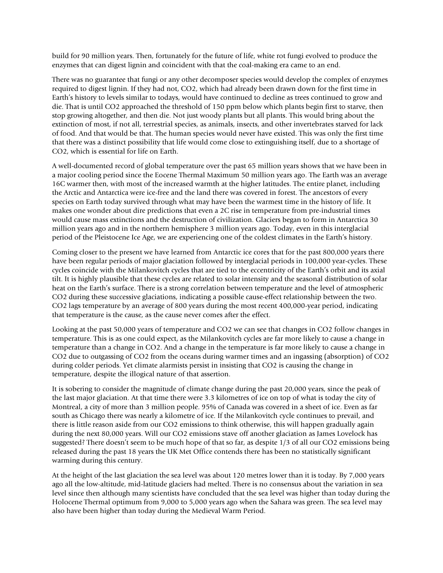build for 90 million years. Then, fortunately for the future of life, white rot fungi evolved to produce the enzymes that can digest lignin and coincident with that the coal-making era came to an end.

There was no guarantee that fungi or any other decomposer species would develop the complex of enzymes required to digest lignin. If they had not, CO2, which had already been drawn down for the first time in Earth's history to levels similar to todays, would have continued to decline as trees continued to grow and die. That is until CO2 approached the threshold of 150 ppm below which plants begin first to starve, then stop growing altogether, and then die. Not just woody plants but all plants. This would bring about the extinction of most, if not all, terrestrial species, as animals, insects, and other invertebrates starved for lack of food. And that would be that. The human species would never have existed. This was only the first time that there was a distinct possibility that life would come close to extinguishing itself, due to a shortage of CO2, which is essential for life on Earth.

A well-documented record of global temperature over the past 65 million years shows that we have been in a major cooling period since the Eocene Thermal Maximum 50 million years ago. The Earth was an average 16C warmer then, with most of the increased warmth at the higher latitudes. The entire planet, including the Arctic and Antarctica were ice-free and the land there was covered in forest. The ancestors of every species on Earth today survived through what may have been the warmest time in the history of life. It makes one wonder about dire predictions that even a 2C rise in temperature from pre-industrial times would cause mass extinctions and the destruction of civilization. Glaciers began to form in Antarctica 30 million years ago and in the northern hemisphere 3 million years ago. Today, even in this interglacial period of the Pleistocene Ice Age, we are experiencing one of the coldest climates in the Earth's history.

Coming closer to the present we have learned from Antarctic ice cores that for the past 800,000 years there have been regular periods of major glaciation followed by interglacial periods in 100,000 year-cycles. These cycles coincide with the Milankovitch cycles that are tied to the eccentricity of the Earth's orbit and its axial tilt. It is highly plausible that these cycles are related to solar intensity and the seasonal distribution of solar heat on the Earth's surface. There is a strong correlation between temperature and the level of atmospheric CO2 during these successive glaciations, indicating a possible cause-effect relationship between the two. CO2 lags temperature by an average of 800 years during the most recent 400,000-year period, indicating that temperature is the cause, as the cause never comes after the effect.

Looking at the past 50,000 years of temperature and CO2 we can see that changes in CO2 follow changes in temperature. This is as one could expect, as the Milankovitch cycles are far more likely to cause a change in temperature than a change in CO2. And a change in the temperature is far more likely to cause a change in CO2 due to outgassing of CO2 from the oceans during warmer times and an ingassing (absorption) of CO2 during colder periods. Yet climate alarmists persist in insisting that CO2 is causing the change in temperature, despite the illogical nature of that assertion.

It is sobering to consider the magnitude of climate change during the past 20,000 years, since the peak of the last major glaciation. At that time there were 3.3 kilometres of ice on top of what is today the city of Montreal, a city of more than 3 million people. 95% of Canada was covered in a sheet of ice. Even as far south as Chicago there was nearly a kilometre of ice. If the Milankovitch cycle continues to prevail, and there is little reason aside from our CO2 emissions to think otherwise, this will happen gradually again during the next 80,000 years. Will our CO2 emissions stave off another glaciation as James Lovelock has suggested? There doesn't seem to be much hope of that so far, as despite 1/3 of all our CO2 emissions being released during the past 18 years the UK Met Office contends there has been no statistically significant warming during this century.

At the height of the last glaciation the sea level was about 120 metres lower than it is today. By 7,000 years ago all the low-altitude, mid-latitude glaciers had melted. There is no consensus about the variation in sea level since then although many scientists have concluded that the sea level was higher than today during the Holocene Thermal optimum from 9,000 to 5,000 years ago when the Sahara was green. The sea level may also have been higher than today during the Medieval Warm Period.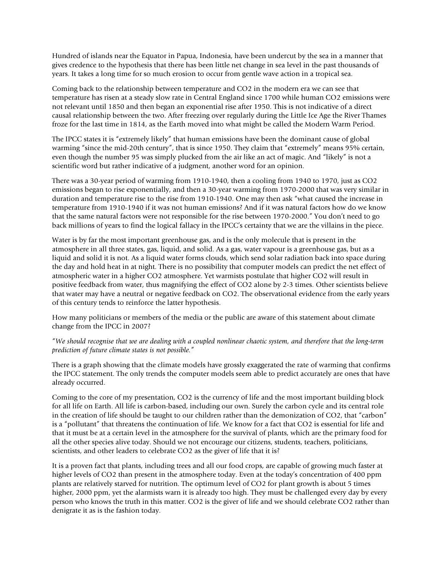Hundred of islands near the Equator in Papua, Indonesia, have been undercut by the sea in a manner that gives credence to the hypothesis that there has been little net change in sea level in the past thousands of years. It takes a long time for so much erosion to occur from gentle wave action in a tropical sea.

Coming back to the relationship between temperature and CO2 in the modern era we can see that temperature has risen at a steady slow rate in Central England since 1700 while human CO2 emissions were not relevant until 1850 and then began an exponential rise after 1950. This is not indicative of a direct causal relationship between the two. After freezing over regularly during the Little Ice Age the River Thames froze for the last time in 1814, as the Earth moved into what might be called the Modern Warm Period.

The IPCC states it is "extremely likely" that human emissions have been the dominant cause of global warming "since the mid-20th century", that is since 1950. They claim that "extremely" means 95% certain, even though the number 95 was simply plucked from the air like an act of magic. And "likely" is not a scientific word but rather indicative of a judgment, another word for an opinion.

There was a 30-year period of warming from 1910-1940, then a cooling from 1940 to 1970, just as CO2 emissions began to rise exponentially, and then a 30-year warming from 1970-2000 that was very similar in duration and temperature rise to the rise from 1910-1940. One may then ask "what caused the increase in temperature from 1910-1940 if it was not human emissions? And if it was natural factors how do we know that the same natural factors were not responsible for the rise between 1970-2000." You don't need to go back millions of years to find the logical fallacy in the IPCC's certainty that we are the villains in the piece.

Water is by far the most important greenhouse gas, and is the only molecule that is present in the atmosphere in all three states, gas, liquid, and solid. As a gas, water vapour is a greenhouse gas, but as a liquid and solid it is not. As a liquid water forms clouds, which send solar radiation back into space during the day and hold heat in at night. There is no possibility that computer models can predict the net effect of atmospheric water in a higher CO2 atmosphere. Yet warmists postulate that higher CO2 will result in positive feedback from water, thus magnifying the effect of CO2 alone by 2-3 times. Other scientists believe that water may have a neutral or negative feedback on CO2. The observational evidence from the early years of this century tends to reinforce the latter hypothesis.

How many politicians or members of the media or the public are aware of this statement about climate change from the IPCC in 2007?

"*We should recognise that we are dealing with a coupled nonlinear chaotic system, and therefore that the long-term prediction of future climate states is not possible.*"

There is a graph showing that the climate models have grossly exaggerated the rate of warming that confirms the IPCC statement. The only trends the computer models seem able to predict accurately are ones that have already occurred.

Coming to the core of my presentation, CO2 is the currency of life and the most important building block for all life on Earth. All life is carbon-based, including our own. Surely the carbon cycle and its central role in the creation of life should be taught to our children rather than the demonization of CO2, that "carbon" is a "pollutant" that threatens the continuation of life. We know for a fact that CO2 is essential for life and that it must be at a certain level in the atmosphere for the survival of plants, which are the primary food for all the other species alive today. Should we not encourage our citizens, students, teachers, politicians, scientists, and other leaders to celebrate CO2 as the giver of life that it is?

It is a proven fact that plants, including trees and all our food crops, are capable of growing much faster at higher levels of CO2 than present in the atmosphere today. Even at the today's concentration of 400 ppm plants are relatively starved for nutrition. The optimum level of CO2 for plant growth is about 5 times higher, 2000 ppm, yet the alarmists warn it is already too high. They must be challenged every day by every person who knows the truth in this matter. CO2 is the giver of life and we should celebrate CO2 rather than denigrate it as is the fashion today.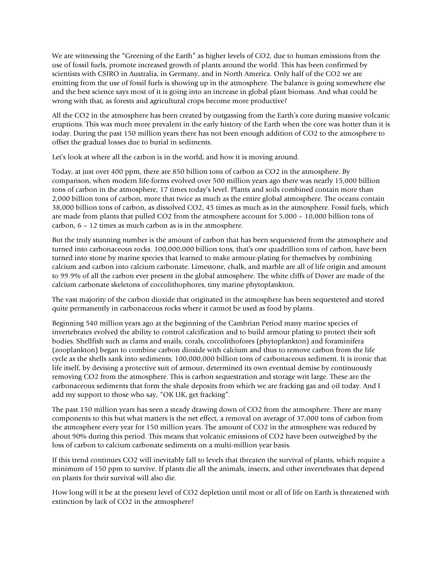We are witnessing the "Greening of the Earth" as higher levels of CO2, due to human emissions from the use of fossil fuels, promote increased growth of plants around the world. This has been confirmed by scientists with CSIRO in Australia, in Germany, and in North America. Only half of the CO2 we are emitting from the use of fossil fuels is showing up in the atmosphere. The balance is going somewhere else and the best science says most of it is going into an increase in global plant biomass. And what could be wrong with that, as forests and agricultural crops become more productive?

All the CO2 in the atmosphere has been created by outgassing from the Earth's core during massive volcanic eruptions. This was much more prevalent in the early history of the Earth when the core was hotter than it is today. During the past 150 million years there has not been enough addition of CO2 to the atmosphere to offset the gradual losses due to burial in sediments.

Let's look at where all the carbon is in the world, and how it is moving around.

Today, at just over 400 ppm, there are 850 billion tons of carbon as CO2 in the atmosphere. By comparison, when modern life-forms evolved over 500 million years ago there was nearly 15,000 billion tons of carbon in the atmosphere, 17 times today's level. Plants and soils combined contain more than 2,000 billion tons of carbon, more that twice as much as the entire global atmosphere. The oceans contain 38,000 billion tons of carbon, as dissolved CO2, 45 times as much as in the atmosphere. Fossil fuels, which are made from plants that pulled CO2 from the atmosphere account for 5,000 – 10,000 billion tons of carbon, 6 – 12 times as much carbon as is in the atmosphere.

But the truly stunning number is the amount of carbon that has been sequestered from the atmosphere and turned into carbonaceous rocks. 100,000,000 billion tons, that's one quadrillion tons of carbon, have been turned into stone by marine species that learned to make armour-plating for themselves by combining calcium and carbon into calcium carbonate. Limestone, chalk, and marble are all of life origin and amount to 99.9% of all the carbon ever present in the global atmosphere. The white cliffs of Dover are made of the calcium carbonate skeletons of coccolithophores, tiny marine phytoplankton.

The vast majority of the carbon dioxide that originated in the atmosphere has been sequestered and stored quite permanently in carbonaceous rocks where it cannot be used as food by plants.

Beginning 540 million years ago at the beginning of the Cambrian Period many marine species of invertebrates evolved the ability to control calcification and to build armour plating to protect their soft bodies. Shellfish such as clams and snails, corals, coccolithofores (phytoplankton) and foraminifera (zooplankton) began to combine carbon dioxide with calcium and thus to remove carbon from the life cycle as the shells sank into sediments; 100,000,000 billion tons of carbonaceous sediment. It is ironic that life itself, by devising a protective suit of armour, determined its own eventual demise by continuously removing CO2 from the atmosphere. This is carbon sequestration and storage writ large. These are the carbonaceous sediments that form the shale deposits from which we are fracking gas and oil today. And I add my support to those who say, "OK UK, get fracking".

The past 150 million years has seen a steady drawing down of CO2 from the atmosphere. There are many components to this but what matters is the net effect, a removal on average of 37,000 tons of carbon from the atmosphere every year for 150 million years. The amount of CO2 in the atmosphere was reduced by about 90% during this period. This means that volcanic emissions of CO2 have been outweighed by the loss of carbon to calcium carbonate sediments on a multi-million year basis.

If this trend continues CO2 will inevitably fall to levels that threaten the survival of plants, which require a minimum of 150 ppm to survive. If plants die all the animals, insects, and other invertebrates that depend on plants for their survival will also die.

How long will it be at the present level of CO2 depletion until most or all of life on Earth is threatened with extinction by lack of CO2 in the atmosphere?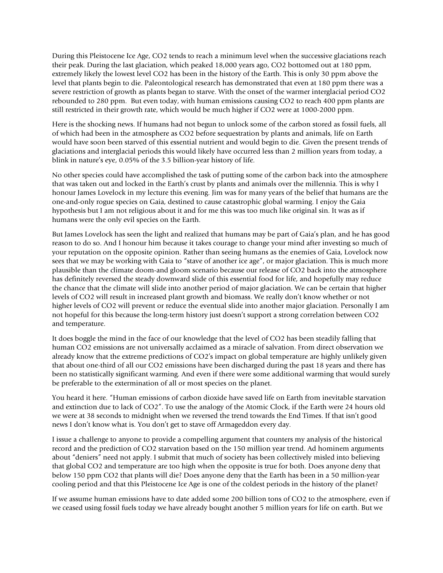During this Pleistocene Ice Age, CO2 tends to reach a minimum level when the successive glaciations reach their peak. During the last glaciation, which peaked 18,000 years ago, CO2 bottomed out at 180 ppm, extremely likely the lowest level CO2 has been in the history of the Earth. This is only 30 ppm above the level that plants begin to die. Paleontological research has demonstrated that even at 180 ppm there was a severe restriction of growth as plants began to starve. With the onset of the warmer interglacial period CO2 rebounded to 280 ppm. But even today, with human emissions causing CO2 to reach 400 ppm plants are still restricted in their growth rate, which would be much higher if CO2 were at 1000-2000 ppm.

Here is the shocking news. If humans had not begun to unlock some of the carbon stored as fossil fuels, all of which had been in the atmosphere as CO2 before sequestration by plants and animals, life on Earth would have soon been starved of this essential nutrient and would begin to die. Given the present trends of glaciations and interglacial periods this would likely have occurred less than 2 million years from today, a blink in nature's eye, 0.05% of the 3.5 billion-year history of life.

No other species could have accomplished the task of putting some of the carbon back into the atmosphere that was taken out and locked in the Earth's crust by plants and animals over the millennia. This is why I honour James Lovelock in my lecture this evening. Jim was for many years of the belief that humans are the one-and-only rogue species on Gaia, destined to cause catastrophic global warming. I enjoy the Gaia hypothesis but I am not religious about it and for me this was too much like original sin. It was as if humans were the only evil species on the Earth.

But James Lovelock has seen the light and realized that humans may be part of Gaia's plan, and he has good reason to do so. And I honour him because it takes courage to change your mind after investing so much of your reputation on the opposite opinion. Rather than seeing humans as the enemies of Gaia, Lovelock now sees that we may be working with Gaia to "stave of another ice age", or major glaciation. This is much more plausible than the climate doom-and gloom scenario because our release of CO2 back into the atmosphere has definitely reversed the steady downward slide of this essential food for life, and hopefully may reduce the chance that the climate will slide into another period of major glaciation. We can be certain that higher levels of CO2 will result in increased plant growth and biomass. We really don't know whether or not higher levels of CO2 will prevent or reduce the eventual slide into another major glaciation. Personally I am not hopeful for this because the long-term history just doesn't support a strong correlation between CO2 and temperature.

It does boggle the mind in the face of our knowledge that the level of CO2 has been steadily falling that human CO2 emissions are not universally acclaimed as a miracle of salvation. From direct observation we already know that the extreme predictions of CO2's impact on global temperature are highly unlikely given that about one-third of all our CO2 emissions have been discharged during the past 18 years and there has been no statistically significant warming. And even if there were some additional warming that would surely be preferable to the extermination of all or most species on the planet.

You heard it here. "Human emissions of carbon dioxide have saved life on Earth from inevitable starvation and extinction due to lack of CO2". To use the analogy of the Atomic Clock, if the Earth were 24 hours old we were at 38 seconds to midnight when we reversed the trend towards the End Times. If that isn't good news I don't know what is. You don't get to stave off Armageddon every day.

I issue a challenge to anyone to provide a compelling argument that counters my analysis of the historical record and the prediction of CO2 starvation based on the 150 million year trend. Ad hominem arguments about "deniers" need not apply. I submit that much of society has been collectively misled into believing that global CO2 and temperature are too high when the opposite is true for both. Does anyone deny that below 150 ppm CO2 that plants will die? Does anyone deny that the Earth has been in a 50 million-year cooling period and that this Pleistocene Ice Age is one of the coldest periods in the history of the planet?

If we assume human emissions have to date added some 200 billion tons of CO2 to the atmosphere, even if we ceased using fossil fuels today we have already bought another 5 million years for life on earth. But we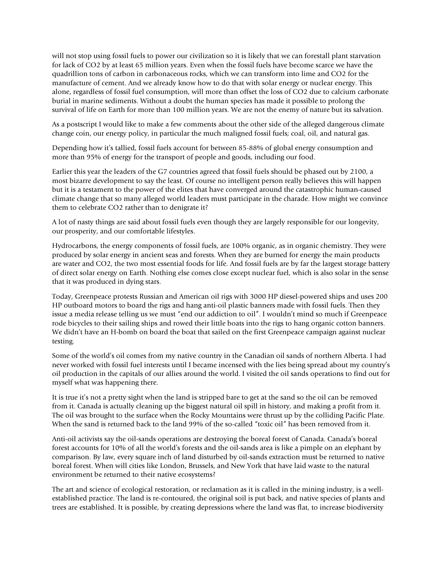will not stop using fossil fuels to power our civilization so it is likely that we can forestall plant starvation for lack of CO2 by at least 65 million years. Even when the fossil fuels have become scarce we have the quadrillion tons of carbon in carbonaceous rocks, which we can transform into lime and CO2 for the manufacture of cement. And we already know how to do that with solar energy or nuclear energy. This alone, regardless of fossil fuel consumption, will more than offset the loss of CO2 due to calcium carbonate burial in marine sediments. Without a doubt the human species has made it possible to prolong the survival of life on Earth for more than 100 million years. We are not the enemy of nature but its salvation.

As a postscript I would like to make a few comments about the other side of the alleged dangerous climate change coin, our energy policy, in particular the much maligned fossil fuels; coal, oil, and natural gas.

Depending how it's tallied, fossil fuels account for between 85-88% of global energy consumption and more than 95% of energy for the transport of people and goods, including our food.

Earlier this year the leaders of the G7 countries agreed that fossil fuels should be phased out by 2100, a most bizarre development to say the least. Of course no intelligent person really believes this will happen but it is a testament to the power of the elites that have converged around the catastrophic human-caused climate change that so many alleged world leaders must participate in the charade. How might we convince them to celebrate CO2 rather than to denigrate it?

A lot of nasty things are said about fossil fuels even though they are largely responsible for our longevity, our prosperity, and our comfortable lifestyles.

Hydrocarbons, the energy components of fossil fuels, are 100% organic, as in organic chemistry. They were produced by solar energy in ancient seas and forests. When they are burned for energy the main products are water and CO2, the two most essential foods for life. And fossil fuels are by far the largest storage battery of direct solar energy on Earth. Nothing else comes close except nuclear fuel, which is also solar in the sense that it was produced in dying stars.

Today, Greenpeace protests Russian and American oil rigs with 3000 HP diesel-powered ships and uses 200 HP outboard motors to board the rigs and hang anti-oil plastic banners made with fossil fuels. Then they issue a media release telling us we must "end our addiction to oil". I wouldn't mind so much if Greenpeace rode bicycles to their sailing ships and rowed their little boats into the rigs to hang organic cotton banners. We didn't have an H-bomb on board the boat that sailed on the first Greenpeace campaign against nuclear testing.

Some of the world's oil comes from my native country in the Canadian oil sands of northern Alberta. I had never worked with fossil fuel interests until I became incensed with the lies being spread about my country's oil production in the capitals of our allies around the world. I visited the oil sands operations to find out for myself what was happening there.

It is true it's not a pretty sight when the land is stripped bare to get at the sand so the oil can be removed from it. Canada is actually cleaning up the biggest natural oil spill in history, and making a profit from it. The oil was brought to the surface when the Rocky Mountains were thrust up by the colliding Pacific Plate. When the sand is returned back to the land 99% of the so-called "toxic oil" has been removed from it.

Anti-oil activists say the oil-sands operations are destroying the boreal forest of Canada. Canada's boreal forest accounts for 10% of all the world's forests and the oil-sands area is like a pimple on an elephant by comparison. By law, every square inch of land disturbed by oil-sands extraction must be returned to native boreal forest. When will cities like London, Brussels, and New York that have laid waste to the natural environment be returned to their native ecosystems?

The art and science of ecological restoration, or reclamation as it is called in the mining industry, is a wellestablished practice. The land is re-contoured, the original soil is put back, and native species of plants and trees are established. It is possible, by creating depressions where the land was flat, to increase biodiversity